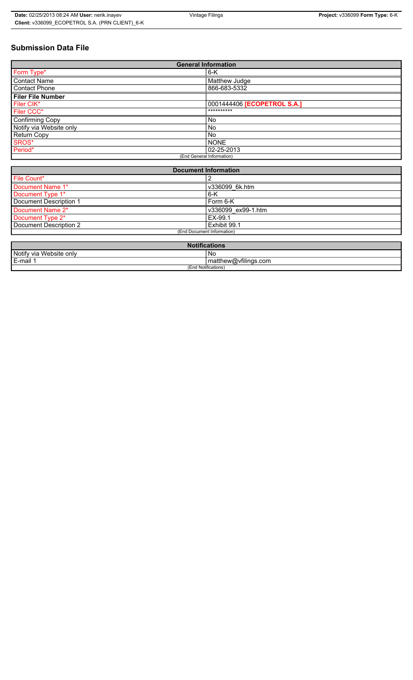# **Submission Data File**

| <b>General Information</b>  |                             |  |  |  |
|-----------------------------|-----------------------------|--|--|--|
| Form Type*                  | $6-K$                       |  |  |  |
| <b>Contact Name</b>         | Matthew Judge               |  |  |  |
| Contact Phone               | 866-683-5332                |  |  |  |
| <b>Filer File Number</b>    |                             |  |  |  |
| Filer CIK*                  | 0001444406 [ECOPETROL S.A.] |  |  |  |
| Filer CCC*                  | **********                  |  |  |  |
| <b>Confirming Copy</b>      | <b>No</b>                   |  |  |  |
| Notify via Website only     | No                          |  |  |  |
| Return Copy                 | <b>No</b>                   |  |  |  |
| SROS*                       | <b>NONE</b>                 |  |  |  |
| Period*                     | 02-25-2013                  |  |  |  |
| (End General Information)   |                             |  |  |  |
|                             |                             |  |  |  |
| <b>Document Information</b> |                             |  |  |  |
| File Count*                 | 2                           |  |  |  |

| File Count*                |                    |  |  |  |
|----------------------------|--------------------|--|--|--|
| Document Name 1*           | v336099 6k.htm     |  |  |  |
| Document Type 1*           | $6 - K$            |  |  |  |
| Document Description 1     | Form 6-K           |  |  |  |
| Document Name 2*           | v336099 ex99-1.htm |  |  |  |
| Document Type 2*           | EX-99.1            |  |  |  |
| Document Description 2     | Exhibit 99.1       |  |  |  |
| (End Document Information) |                    |  |  |  |
|                            |                    |  |  |  |

| <b>Notifications</b>    |                      |  |  |  |
|-------------------------|----------------------|--|--|--|
| Notify via Website only | .No                  |  |  |  |
| E-mail                  | matthew@vfilings.com |  |  |  |
| (End Notifications)     |                      |  |  |  |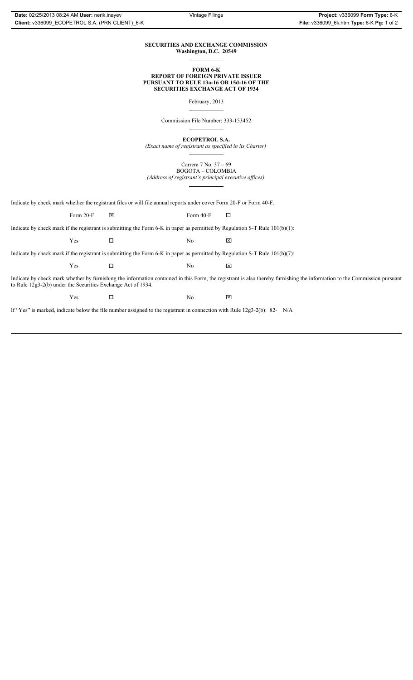### **SECURITIES AND EXCHANGE COMMISSION Washington, D.C. 20549**

**FORM 6-K**

**REPORT OF FOREIGN PRIVATE ISSUER PURSUANT TO RULE 13a-16 OR 15d-16 OF THE SECURITIES EXCHANGE ACT OF 1934**

February, 2013

Commission File Number: 333-153452

**ECOPETROL S.A.**

*(Exact name of registrant as specified in its Charter)*

Carrera 7 No. 37 – 69 BOGOTA – COLOMBIA *(Address of registrant's principal executive offices)*

Indicate by check mark whether the registrant files or will file annual reports under cover Form 20-F or Form 40-F.

|                                                                                                                                                                                                                                           | Form $20-F$ | ⊠ | Form $40-F$    | ◻ |  |  |  |
|-------------------------------------------------------------------------------------------------------------------------------------------------------------------------------------------------------------------------------------------|-------------|---|----------------|---|--|--|--|
| Indicate by check mark if the registrant is submitting the Form 6-K in paper as permitted by Regulation S-T Rule $101(b)(1)$ :                                                                                                            |             |   |                |   |  |  |  |
|                                                                                                                                                                                                                                           | Yes         |   | No             | ⊠ |  |  |  |
| Indicate by check mark if the registrant is submitting the Form 6-K in paper as permitted by Regulation S-T Rule $101(b)(7)$ :                                                                                                            |             |   |                |   |  |  |  |
|                                                                                                                                                                                                                                           | Yes         | ப | N <sub>0</sub> | ⊠ |  |  |  |
| Indicate by check mark whether by furnishing the information contained in this Form, the registrant is also thereby furnishing the information to the Commission pursuant<br>to Rule 12g3-2(b) under the Securities Exchange Act of 1934. |             |   |                |   |  |  |  |
|                                                                                                                                                                                                                                           | Yes         |   | No             | ⊠ |  |  |  |

If "Yes" is marked, indicate below the file number assigned to the registrant in connection with Rule 12g3-2(b): 82- $N/A$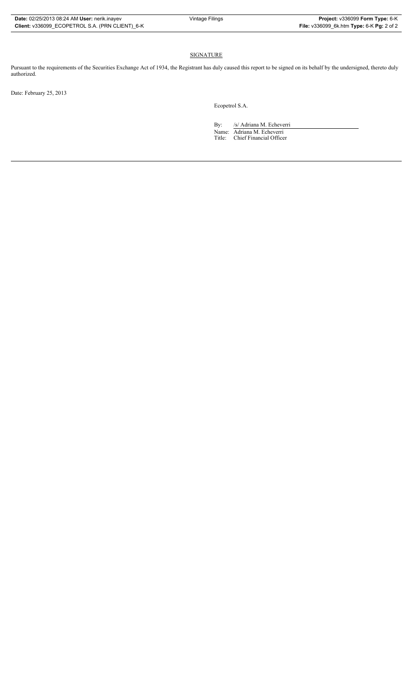## SIGNATURE

Pursuant to the requirements of the Securities Exchange Act of 1934, the Registrant has duly caused this report to be signed on its behalf by the undersigned, thereto duly authorized.

Date: February 25, 2013

Ecopetrol S.A.

By: /s/ Adriana M. Echeverri Name: Adriana M. Echeverri Title: Chief Financial Officer